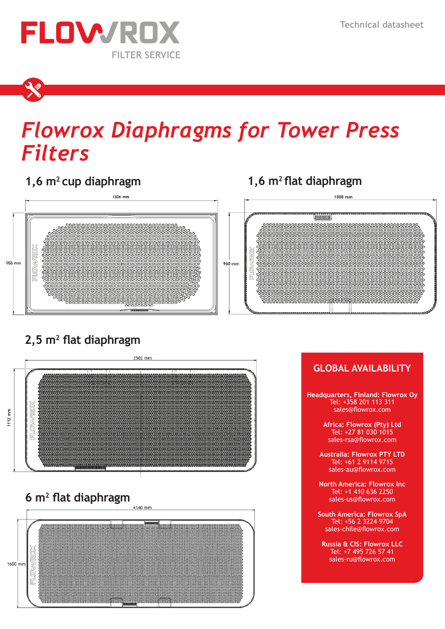

# *Flowrox Diaphragms for Tower Press Filters*

# **1,6 m2 1,6 m2 cup diaphragm flat diaphragm**



# **2,5 m2 flat diaphragm**







### **GLOBAL AVAILABILITY Headquarters, Finland: Flowrox Oy** Tel: +358 201 113 311 sales@flowrox.com **Africa: Flowrox (Pty) Ltd** Tel: +27 81 030 1015 sales-rsa@flowrox.com **Australia: Flowrox PTY LTD** Tel: +61 2 9114 9715 sales-au@flowrox.com **North America: Flowrox Inc** Tel: +1 410 636 2250 sales-us@flowrox.com **South America: Flowrox SpA** Tel: +56 2 3224 9704 sales-chile@flowrox.com **Russia & CIS: Flowrox LLC** Tel: +7 495 726 57 41 sales-ru@flowrox.com